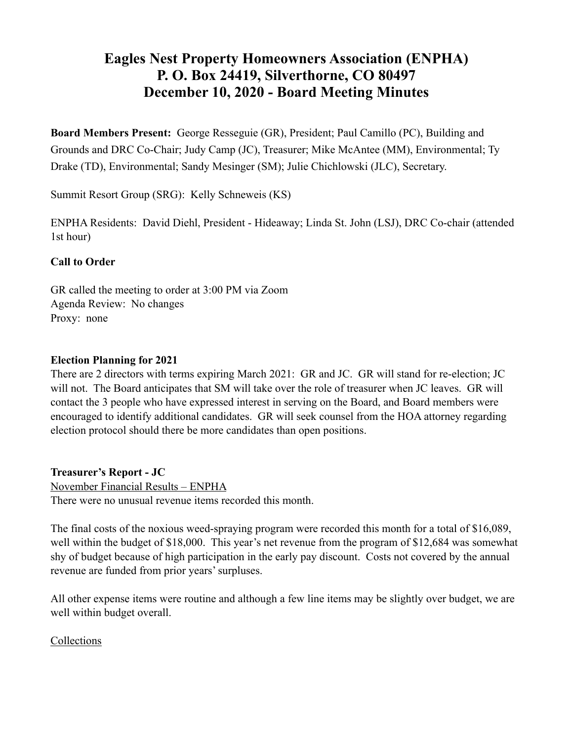# **Eagles Nest Property Homeowners Association (ENPHA) P. O. Box 24419, Silverthorne, CO 80497 December 10, 2020 - Board Meeting Minutes**

**Board Members Present:** George Resseguie (GR), President; Paul Camillo (PC), Building and Grounds and DRC Co-Chair; Judy Camp (JC), Treasurer; Mike McAntee (MM), Environmental; Ty Drake (TD), Environmental; Sandy Mesinger (SM); Julie Chichlowski (JLC), Secretary.

Summit Resort Group (SRG): Kelly Schneweis (KS)

ENPHA Residents: David Diehl, President - Hideaway; Linda St. John (LSJ), DRC Co-chair (attended 1st hour)

## **Call to Order**

GR called the meeting to order at 3:00 PM via Zoom Agenda Review: No changes Proxy: none

## **Election Planning for 2021**

There are 2 directors with terms expiring March 2021: GR and JC. GR will stand for re-election; JC will not. The Board anticipates that SM will take over the role of treasurer when JC leaves. GR will contact the 3 people who have expressed interest in serving on the Board, and Board members were encouraged to identify additional candidates. GR will seek counsel from the HOA attorney regarding election protocol should there be more candidates than open positions.

**Treasurer's Report - JC**

November Financial Results – ENPHA There were no unusual revenue items recorded this month.

The final costs of the noxious weed-spraying program were recorded this month for a total of \$16,089, well within the budget of \$18,000. This year's net revenue from the program of \$12,684 was somewhat shy of budget because of high participation in the early pay discount. Costs not covered by the annual revenue are funded from prior years' surpluses.

All other expense items were routine and although a few line items may be slightly over budget, we are well within budget overall.

## Collections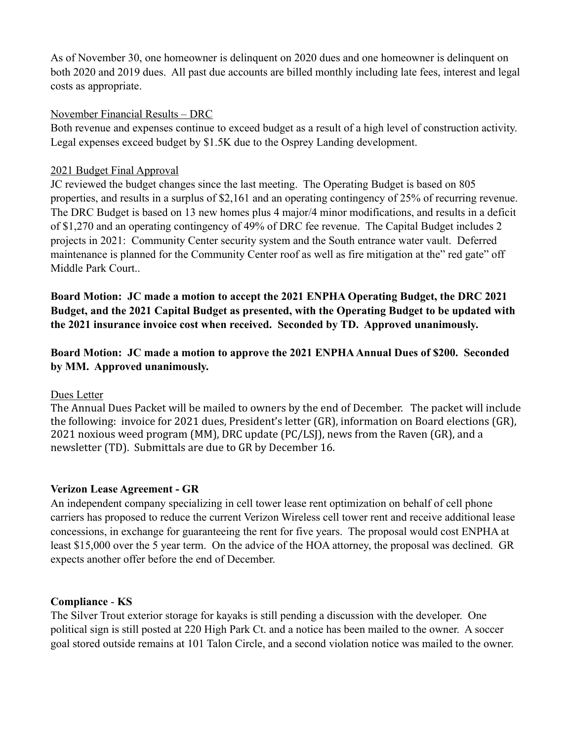As of November 30, one homeowner is delinquent on 2020 dues and one homeowner is delinquent on both 2020 and 2019 dues. All past due accounts are billed monthly including late fees, interest and legal costs as appropriate.

### November Financial Results – DRC

Both revenue and expenses continue to exceed budget as a result of a high level of construction activity. Legal expenses exceed budget by \$1.5K due to the Osprey Landing development.

### 2021 Budget Final Approval

JC reviewed the budget changes since the last meeting. The Operating Budget is based on 805 properties, and results in a surplus of \$2,161 and an operating contingency of 25% of recurring revenue. The DRC Budget is based on 13 new homes plus 4 major/4 minor modifications, and results in a deficit of \$1,270 and an operating contingency of 49% of DRC fee revenue. The Capital Budget includes 2 projects in 2021: Community Center security system and the South entrance water vault. Deferred maintenance is planned for the Community Center roof as well as fire mitigation at the" red gate" off Middle Park Court..

**Board Motion: JC made a motion to accept the 2021 ENPHA Operating Budget, the DRC 2021 Budget, and the 2021 Capital Budget as presented, with the Operating Budget to be updated with the 2021 insurance invoice cost when received. Seconded by TD. Approved unanimously.** 

**Board Motion: JC made a motion to approve the 2021 ENPHA Annual Dues of \$200. Seconded by MM. Approved unanimously.** 

## Dues Letter

The Annual Dues Packet will be mailed to owners by the end of December. The packet will include the following: invoice for 2021 dues, President's letter (GR), information on Board elections (GR), 2021 noxious weed program (MM), DRC update (PC/LSJ), news from the Raven (GR), and a newsletter (TD). Submittals are due to GR by December 16.

## **Verizon Lease Agreement - GR**

An independent company specializing in cell tower lease rent optimization on behalf of cell phone carriers has proposed to reduce the current Verizon Wireless cell tower rent and receive additional lease concessions, in exchange for guaranteeing the rent for five years. The proposal would cost ENPHA at least \$15,000 over the 5 year term. On the advice of the HOA attorney, the proposal was declined. GR expects another offer before the end of December.

## **Compliance** - **KS**

The Silver Trout exterior storage for kayaks is still pending a discussion with the developer. One political sign is still posted at 220 High Park Ct. and a notice has been mailed to the owner. A soccer goal stored outside remains at 101 Talon Circle, and a second violation notice was mailed to the owner.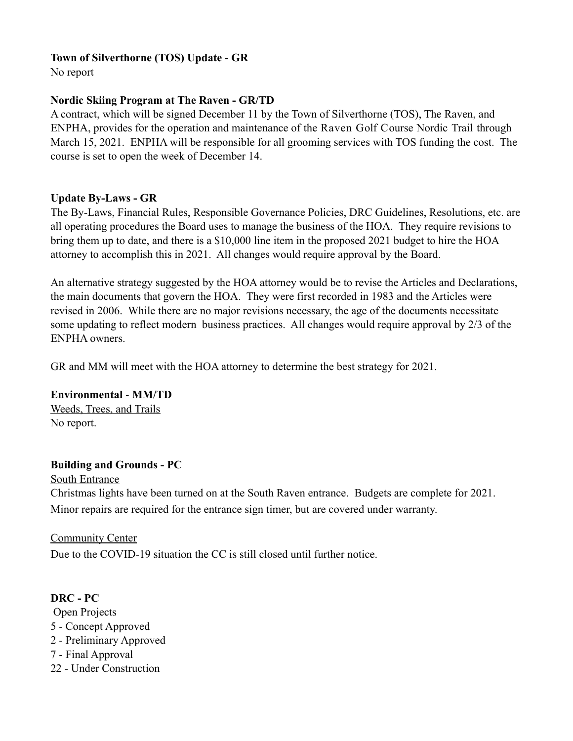## **Town of Silverthorne (TOS) Update - GR**

No report

## **Nordic Skiing Program at The Raven - GR/TD**

A contract, which will be signed December 11 by the Town of Silverthorne (TOS), The Raven, and ENPHA, provides for the operation and maintenance of the Raven Golf Course Nordic Trail through March 15, 2021. ENPHA will be responsible for all grooming services with TOS funding the cost. The course is set to open the week of December 14.

## **Update By-Laws - GR**

The By-Laws, Financial Rules, Responsible Governance Policies, DRC Guidelines, Resolutions, etc. are all operating procedures the Board uses to manage the business of the HOA. They require revisions to bring them up to date, and there is a \$10,000 line item in the proposed 2021 budget to hire the HOA attorney to accomplish this in 2021. All changes would require approval by the Board.

An alternative strategy suggested by the HOA attorney would be to revise the Articles and Declarations, the main documents that govern the HOA. They were first recorded in 1983 and the Articles were revised in 2006. While there are no major revisions necessary, the age of the documents necessitate some updating to reflect modern business practices. All changes would require approval by 2/3 of the ENPHA owners.

GR and MM will meet with the HOA attorney to determine the best strategy for 2021.

**Environmental** - **MM/TD**  Weeds, Trees, and Trails No report.

# **Building and Grounds - PC**

South Entrance Christmas lights have been turned on at the South Raven entrance. Budgets are complete for 2021. Minor repairs are required for the entrance sign timer, but are covered under warranty.

## Community Center

Due to the COVID-19 situation the CC is still closed until further notice.

# **DRC - PC**

- Open Projects 5 - Concept Approved 2 - Preliminary Approved 7 - Final Approval
- 22 Under Construction